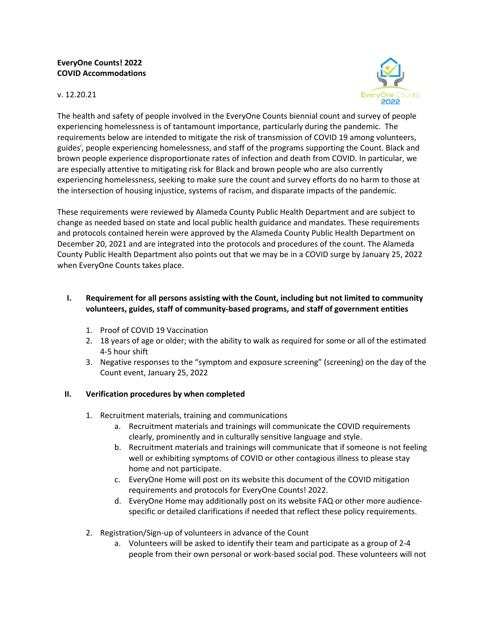### **EveryOne Counts! 2022 COVID Accommodations**

#### v. 12.20.21



The health and safety of people involved in the EveryOne Counts biennial count and survey of people experiencing homelessness is of tantamount importance, particularly during the pandemic. The requirements below are intended to mitigate the risk of transmission of COVID 19 among volunteers, guides<sup>i</sup>, people experiencing homelessness, and staff of the programs supporting the Count. Black and brown people experience disproportionate rates of infection and death from COVID. In particular, we are especially attentive to mitigating risk for Black and brown people who are also currently experiencing homelessness, seeking to make sure the count and survey efforts do no harm to those at the intersection of housing injustice, systems of racism, and disparate impacts of the pandemic.

These requirements were reviewed by Alameda County Public Health Department and are subject to change as needed based on state and local public health guidance and mandates. These requirements and protocols contained herein were approved by the Alameda County Public Health Department on December 20, 2021 and are integrated into the protocols and procedures of the count. The Alameda County Public Health Department also points out that we may be in a COVID surge by January 25, 2022 when EveryOne Counts takes place.

# **I. Requirement for all persons assisting with the Count, including but not limited to community volunteers, guides, staff of community-based programs, and staff of government entities**

- 1. Proof of COVID 19 Vaccination
- 2. 18 years of age or older; with the ability to walk as required for some or all of the estimated 4-5 hour shift
- 3. Negative responses to the "symptom and exposure screening" (screening) on the day of the Count event, January 25, 2022

# **II. Verification procedures by when completed**

- 1. Recruitment materials, training and communications
	- a. Recruitment materials and trainings will communicate the COVID requirements clearly, prominently and in culturally sensitive language and style.
	- b. Recruitment materials and trainings will communicate that if someone is not feeling well or exhibiting symptoms of COVID or other contagious illness to please stay home and not participate.
	- c. EveryOne Home will post on its website this document of the COVID mitigation requirements and protocols for EveryOne Counts! 2022.
	- d. EveryOne Home may additionally post on its website FAQ or other more audiencespecific or detailed clarifications if needed that reflect these policy requirements.
- 2. Registration/Sign-up of volunteers in advance of the Count
	- a. Volunteers will be asked to identify their team and participate as a group of 2-4 people from their own personal or work-based social pod. These volunteers will not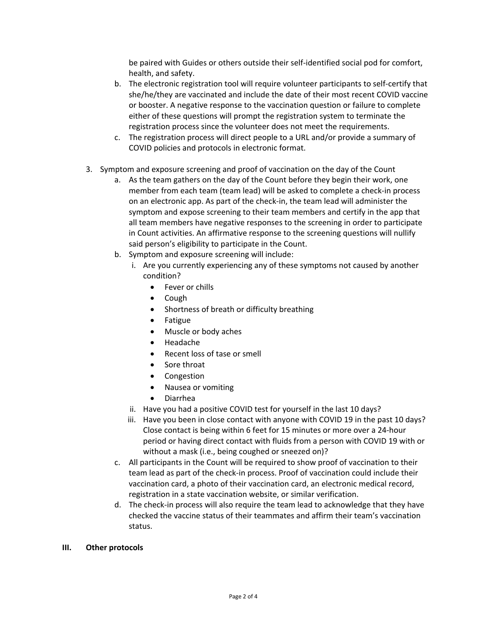be paired with Guides or others outside their self-identified social pod for comfort, health, and safety.

- b. The electronic registration tool will require volunteer participants to self-certify that she/he/they are vaccinated and include the date of their most recent COVID vaccine or booster. A negative response to the vaccination question or failure to complete either of these questions will prompt the registration system to terminate the registration process since the volunteer does not meet the requirements.
- c. The registration process will direct people to a URL and/or provide a summary of COVID policies and protocols in electronic format.
- 3. Symptom and exposure screening and proof of vaccination on the day of the Count
	- a. As the team gathers on the day of the Count before they begin their work, one member from each team (team lead) will be asked to complete a check-in process on an electronic app. As part of the check-in, the team lead will administer the symptom and expose screening to their team members and certify in the app that all team members have negative responses to the screening in order to participate in Count activities. An affirmative response to the screening questions will nullify said person's eligibility to participate in the Count.
	- b. Symptom and exposure screening will include:
		- i. Are you currently experiencing any of these symptoms not caused by another condition?
			- Fever or chills
			- Cough
			- Shortness of breath or difficulty breathing
			- Fatigue
			- Muscle or body aches
			- Headache
			- Recent loss of tase or smell
			- Sore throat
			- Congestion
			- Nausea or vomiting
			- Diarrhea
		- ii. Have you had a positive COVID test for yourself in the last 10 days?
		- iii. Have you been in close contact with anyone with COVID 19 in the past 10 days? Close contact is being within 6 feet for 15 minutes or more over a 24-hour period or having direct contact with fluids from a person with COVID 19 with or without a mask (i.e., being coughed or sneezed on)?
	- c. All participants in the Count will be required to show proof of vaccination to their team lead as part of the check-in process. Proof of vaccination could include their vaccination card, a photo of their vaccination card, an electronic medical record, registration in a state vaccination website, or similar verification.
	- d. The check-in process will also require the team lead to acknowledge that they have checked the vaccine status of their teammates and affirm their team's vaccination status.

#### **III. Other protocols**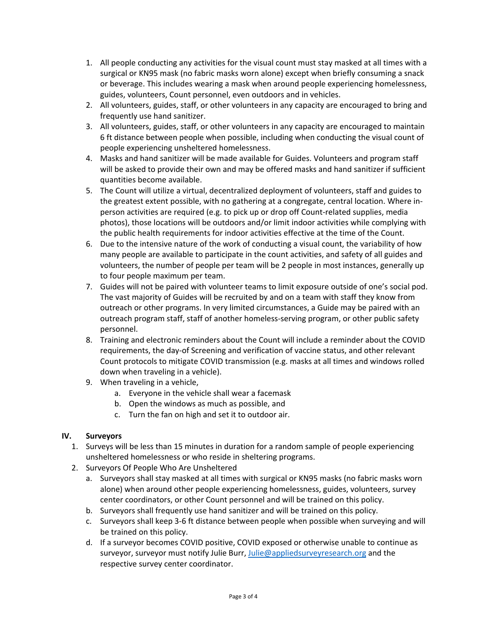- 1. All people conducting any activities for the visual count must stay masked at all times with a surgical or KN95 mask (no fabric masks worn alone) except when briefly consuming a snack or beverage. This includes wearing a mask when around people experiencing homelessness, guides, volunteers, Count personnel, even outdoors and in vehicles.
- 2. All volunteers, guides, staff, or other volunteers in any capacity are encouraged to bring and frequently use hand sanitizer.
- 3. All volunteers, guides, staff, or other volunteers in any capacity are encouraged to maintain 6 ft distance between people when possible, including when conducting the visual count of people experiencing unsheltered homelessness.
- 4. Masks and hand sanitizer will be made available for Guides. Volunteers and program staff will be asked to provide their own and may be offered masks and hand sanitizer if sufficient quantities become available.
- 5. The Count will utilize a virtual, decentralized deployment of volunteers, staff and guides to the greatest extent possible, with no gathering at a congregate, central location. Where inperson activities are required (e.g. to pick up or drop off Count-related supplies, media photos), those locations will be outdoors and/or limit indoor activities while complying with the public health requirements for indoor activities effective at the time of the Count.
- 6. Due to the intensive nature of the work of conducting a visual count, the variability of how many people are available to participate in the count activities, and safety of all guides and volunteers, the number of people per team will be 2 people in most instances, generally up to four people maximum per team.
- 7. Guides will not be paired with volunteer teams to limit exposure outside of one's social pod. The vast majority of Guides will be recruited by and on a team with staff they know from outreach or other programs. In very limited circumstances, a Guide may be paired with an outreach program staff, staff of another homeless-serving program, or other public safety personnel.
- 8. Training and electronic reminders about the Count will include a reminder about the COVID requirements, the day-of Screening and verification of vaccine status, and other relevant Count protocols to mitigate COVID transmission (e.g. masks at all times and windows rolled down when traveling in a vehicle).
- 9. When traveling in a vehicle,
	- a. Everyone in the vehicle shall wear a facemask
	- b. Open the windows as much as possible, and
	- c. Turn the fan on high and set it to outdoor air.

#### **IV. Surveyors**

- 1. Surveys will be less than 15 minutes in duration for a random sample of people experiencing unsheltered homelessness or who reside in sheltering programs.
- 2. Surveyors Of People Who Are Unsheltered
	- a. Surveyors shall stay masked at all times with surgical or KN95 masks (no fabric masks worn alone) when around other people experiencing homelessness, guides, volunteers, survey center coordinators, or other Count personnel and will be trained on this policy.
	- b. Surveyors shall frequently use hand sanitizer and will be trained on this policy.
	- c. Surveyors shall keep 3-6 ft distance between people when possible when surveying and will be trained on this policy.
	- d. If a surveyor becomes COVID positive, COVID exposed or otherwise unable to continue as surveyor, surveyor must notify Julie Burr, Julie@appliedsurveyresearch.org and the respective survey center coordinator.